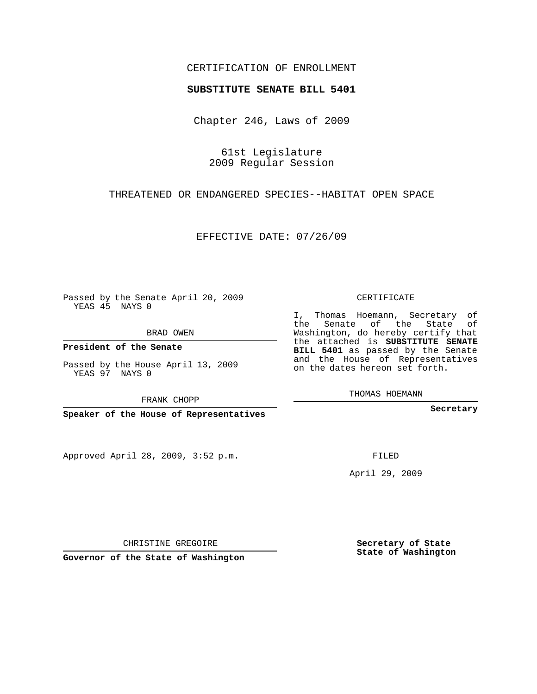## CERTIFICATION OF ENROLLMENT

## **SUBSTITUTE SENATE BILL 5401**

Chapter 246, Laws of 2009

61st Legislature 2009 Regular Session

THREATENED OR ENDANGERED SPECIES--HABITAT OPEN SPACE

EFFECTIVE DATE: 07/26/09

Passed by the Senate April 20, 2009 YEAS 45 NAYS 0

BRAD OWEN

**President of the Senate**

Passed by the House April 13, 2009 YEAS 97 NAYS 0

FRANK CHOPP

**Speaker of the House of Representatives**

Approved April 28, 2009, 3:52 p.m.

CERTIFICATE

I, Thomas Hoemann, Secretary of the Senate of the State of Washington, do hereby certify that the attached is **SUBSTITUTE SENATE BILL 5401** as passed by the Senate and the House of Representatives on the dates hereon set forth.

THOMAS HOEMANN

**Secretary**

FILED

April 29, 2009

**Secretary of State State of Washington**

CHRISTINE GREGOIRE

**Governor of the State of Washington**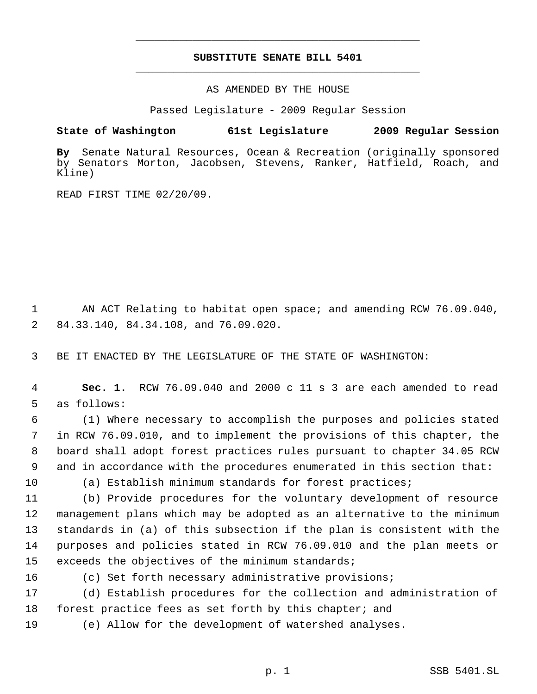## **SUBSTITUTE SENATE BILL 5401** \_\_\_\_\_\_\_\_\_\_\_\_\_\_\_\_\_\_\_\_\_\_\_\_\_\_\_\_\_\_\_\_\_\_\_\_\_\_\_\_\_\_\_\_\_

\_\_\_\_\_\_\_\_\_\_\_\_\_\_\_\_\_\_\_\_\_\_\_\_\_\_\_\_\_\_\_\_\_\_\_\_\_\_\_\_\_\_\_\_\_

AS AMENDED BY THE HOUSE

Passed Legislature - 2009 Regular Session

## **State of Washington 61st Legislature 2009 Regular Session**

**By** Senate Natural Resources, Ocean & Recreation (originally sponsored by Senators Morton, Jacobsen, Stevens, Ranker, Hatfield, Roach, and Kline)

READ FIRST TIME 02/20/09.

 1 AN ACT Relating to habitat open space; and amending RCW 76.09.040, 2 84.33.140, 84.34.108, and 76.09.020.

3 BE IT ENACTED BY THE LEGISLATURE OF THE STATE OF WASHINGTON:

 4 **Sec. 1.** RCW 76.09.040 and 2000 c 11 s 3 are each amended to read 5 as follows:

 (1) Where necessary to accomplish the purposes and policies stated in RCW 76.09.010, and to implement the provisions of this chapter, the board shall adopt forest practices rules pursuant to chapter 34.05 RCW and in accordance with the procedures enumerated in this section that:

10 (a) Establish minimum standards for forest practices;

 (b) Provide procedures for the voluntary development of resource management plans which may be adopted as an alternative to the minimum standards in (a) of this subsection if the plan is consistent with the purposes and policies stated in RCW 76.09.010 and the plan meets or exceeds the objectives of the minimum standards;

16 (c) Set forth necessary administrative provisions;

17 (d) Establish procedures for the collection and administration of 18 forest practice fees as set forth by this chapter; and

19 (e) Allow for the development of watershed analyses.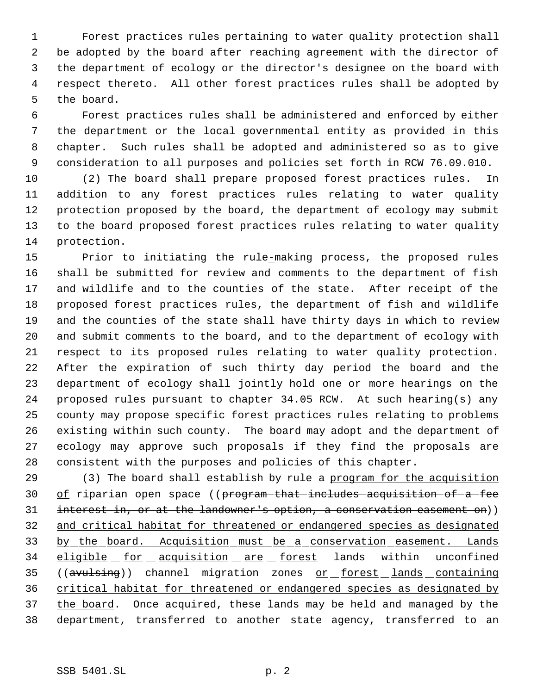Forest practices rules pertaining to water quality protection shall be adopted by the board after reaching agreement with the director of the department of ecology or the director's designee on the board with respect thereto. All other forest practices rules shall be adopted by the board.

 Forest practices rules shall be administered and enforced by either the department or the local governmental entity as provided in this chapter. Such rules shall be adopted and administered so as to give consideration to all purposes and policies set forth in RCW 76.09.010.

 (2) The board shall prepare proposed forest practices rules. In addition to any forest practices rules relating to water quality protection proposed by the board, the department of ecology may submit to the board proposed forest practices rules relating to water quality protection.

 Prior to initiating the rule-making process, the proposed rules shall be submitted for review and comments to the department of fish and wildlife and to the counties of the state. After receipt of the proposed forest practices rules, the department of fish and wildlife and the counties of the state shall have thirty days in which to review and submit comments to the board, and to the department of ecology with respect to its proposed rules relating to water quality protection. After the expiration of such thirty day period the board and the department of ecology shall jointly hold one or more hearings on the proposed rules pursuant to chapter 34.05 RCW. At such hearing(s) any county may propose specific forest practices rules relating to problems existing within such county. The board may adopt and the department of ecology may approve such proposals if they find the proposals are consistent with the purposes and policies of this chapter.

29 (3) The board shall establish by rule a program for the acquisition 30 of riparian open space ((program that includes acquisition of a fee 31 interest in, or at the landowner's option, a conservation easement on)) and critical habitat for threatened or endangered species as designated 33 by the board. Acquisition must be a conservation easement. Lands 34 eligible for acquisition are forest lands within unconfined 35 ((avulsing)) channel migration zones or forest lands containing critical habitat for threatened or endangered species as designated by 37 the board. Once acquired, these lands may be held and managed by the department, transferred to another state agency, transferred to an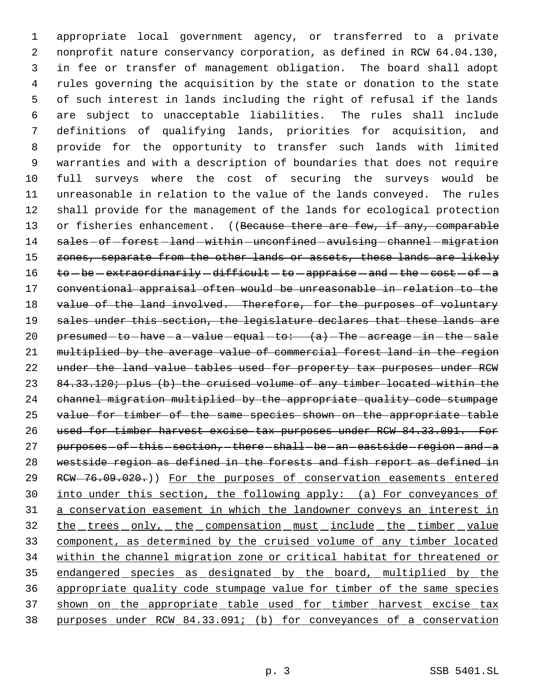appropriate local government agency, or transferred to a private nonprofit nature conservancy corporation, as defined in RCW 64.04.130, in fee or transfer of management obligation. The board shall adopt rules governing the acquisition by the state or donation to the state of such interest in lands including the right of refusal if the lands are subject to unacceptable liabilities. The rules shall include definitions of qualifying lands, priorities for acquisition, and provide for the opportunity to transfer such lands with limited warranties and with a description of boundaries that does not require full surveys where the cost of securing the surveys would be unreasonable in relation to the value of the lands conveyed. The rules shall provide for the management of the lands for ecological protection 13 or fisheries enhancement. ((Because there are few, if any, comparable 14 sales-of-forest-land-within-unconfined-avulsing-channel-migration 15 zones, separate from the other lands or assets, these lands are likely to  $be$  -extraordinarily -difficult -to -appraise -and -the -cost -of -a conventional appraisal often would be unreasonable in relation to the 18 value of the land involved. Therefore, for the purposes of voluntary 19 sales under this section, the legislature declares that these lands are  $peresumed-to-have-a-value-equal-to: (a)-The-acreage-in-the-sale$  multiplied by the average value of commercial forest land in the region under the land value tables used for property tax purposes under RCW 23 84.33.120; plus (b) the cruised volume of any timber located within the channel migration multiplied by the appropriate quality code stumpage value for timber of the same species shown on the appropriate table used for timber harvest excise tax purposes under RCW 84.33.091. For 27 purposes of this section, there shall be an eastside region and a westside region as defined in the forests and fish report as defined in 29 RCW-76.09.020.)) For the purposes of conservation easements entered into under this section, the following apply: (a) For conveyances of a conservation easement in which the landowner conveys an interest in 32 the trees only, the compensation must include the timber value component, as determined by the cruised volume of any timber located within the channel migration zone or critical habitat for threatened or endangered species as designated by the board, multiplied by the appropriate quality code stumpage value for timber of the same species 37 shown on the appropriate table used for timber harvest excise tax purposes under RCW 84.33.091; (b) for conveyances of a conservation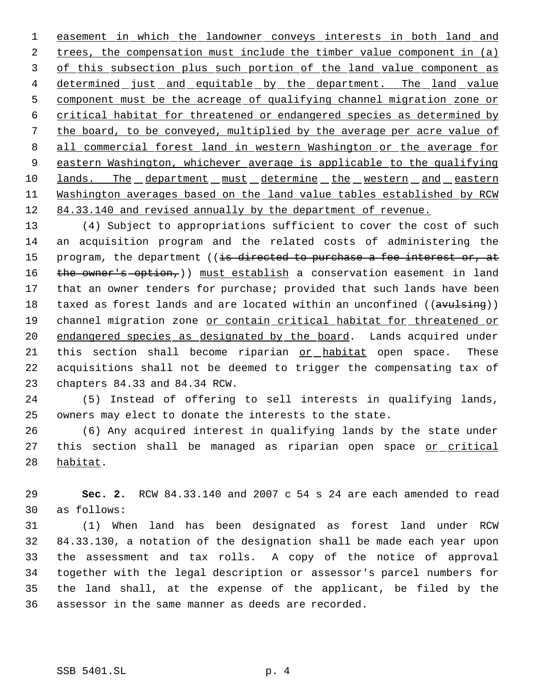1 easement in which the landowner conveys interests in both land and 2 trees, the compensation must include the timber value component in (a) 3 of this subsection plus such portion of the land value component as 4 determined just and equitable by the department. The land value component must be the acreage of qualifying channel migration zone or critical habitat for threatened or endangered species as determined by the board, to be conveyed, multiplied by the average per acre value of 8 all commercial forest land in western Washington or the average for eastern Washington, whichever average is applicable to the qualifying 10 lands. The department must determine the western and eastern Washington averages based on the land value tables established by RCW 12 84.33.140 and revised annually by the department of revenue.

 (4) Subject to appropriations sufficient to cover the cost of such an acquisition program and the related costs of administering the 15 program, the department ((is directed to purchase a fee interest or, at 16 the owner's option, ) must establish a conservation easement in land that an owner tenders for purchase; provided that such lands have been 18 taxed as forest lands and are located within an unconfined ((avulsing)) 19 channel migration zone or contain critical habitat for threatened or 20 endangered species as designated by the board. Lands acquired under this section shall become riparian or habitat open space. These acquisitions shall not be deemed to trigger the compensating tax of chapters 84.33 and 84.34 RCW.

 (5) Instead of offering to sell interests in qualifying lands, owners may elect to donate the interests to the state.

 (6) Any acquired interest in qualifying lands by the state under 27 this section shall be managed as riparian open space or critical habitat.

 **Sec. 2.** RCW 84.33.140 and 2007 c 54 s 24 are each amended to read as follows:

 (1) When land has been designated as forest land under RCW 84.33.130, a notation of the designation shall be made each year upon the assessment and tax rolls. A copy of the notice of approval together with the legal description or assessor's parcel numbers for the land shall, at the expense of the applicant, be filed by the assessor in the same manner as deeds are recorded.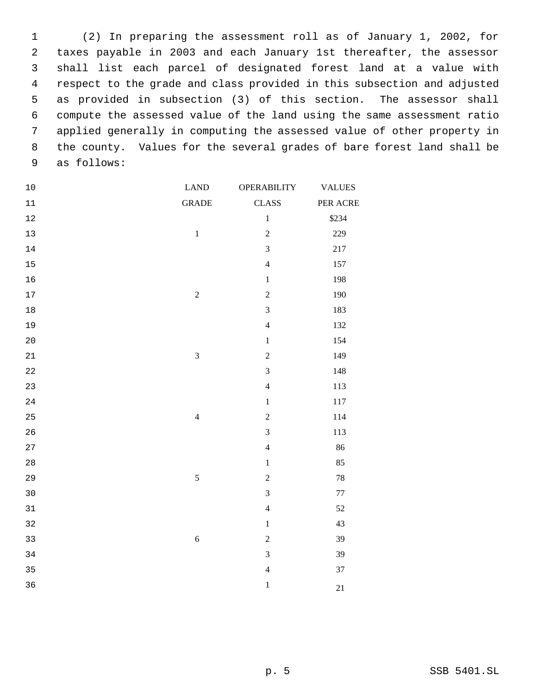(2) In preparing the assessment roll as of January 1, 2002, for taxes payable in 2003 and each January 1st thereafter, the assessor shall list each parcel of designated forest land at a value with respect to the grade and class provided in this subsection and adjusted as provided in subsection (3) of this section. The assessor shall compute the assessed value of the land using the same assessment ratio applied generally in computing the assessed value of other property in the county. Values for the several grades of bare forest land shall be as follows:

| $10$   | <b>LAND</b>             | <b>OPERABILITY</b> | <b>VALUES</b> |
|--------|-------------------------|--------------------|---------------|
| $11\,$ | <b>GRADE</b>            | <b>CLASS</b>       | PER ACRE      |
| $12\,$ |                         | $\,1$              | \$234         |
| $13$   | $\,1\,$                 | $\sqrt{2}$         | 229           |
| $14\,$ |                         | $\overline{3}$     | $217\,$       |
| $15\,$ |                         | $\overline{4}$     | 157           |
| 16     |                         | $\,1$              | 198           |
| $17\,$ | $\overline{c}$          | $\sqrt{2}$         | 190           |
| $18\,$ |                         | $\mathfrak{Z}$     | 183           |
| 19     |                         | $\overline{4}$     | 132           |
| $20$   |                         | $\,1$              | 154           |
| 21     | $\overline{\mathbf{3}}$ | $\overline{2}$     | 149           |
| 22     |                         | $\overline{3}$     | 148           |
| 23     |                         | $\overline{4}$     | 113           |
| 24     |                         | $\,1$              | 117           |
| 25     | $\overline{4}$          | $\sqrt{2}$         | 114           |
| 26     |                         | $\overline{3}$     | 113           |
| 27     |                         | $\overline{4}$     | 86            |
| 28     |                         | $\,1$              | 85            |
| 29     | 5                       | $\sqrt{2}$         | $78\,$        |
| 30     |                         | $\overline{3}$     | $77\,$        |
| $31\,$ |                         | $\overline{4}$     | $52\,$        |
| 32     |                         | $\,1$              | 43            |
| 33     | $\sqrt{6}$              | $\boldsymbol{2}$   | 39            |
| 34     |                         | $\overline{3}$     | 39            |
| 35     |                         | $\overline{4}$     | 37            |
| 36     |                         | $\,1\,$            | 21            |
|        |                         |                    |               |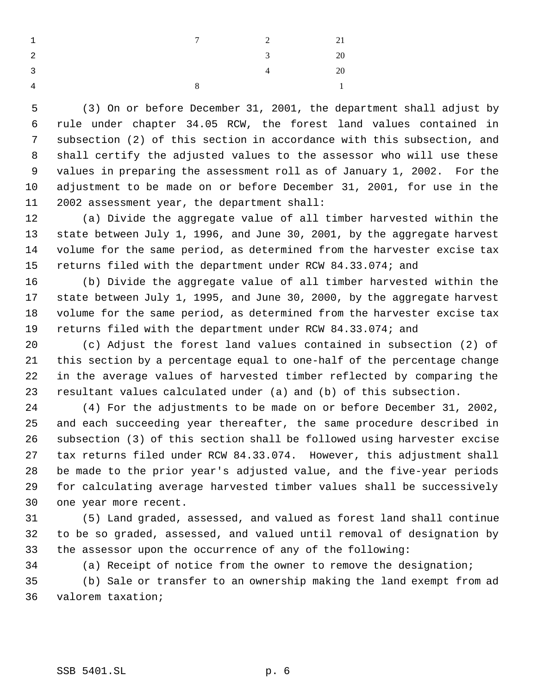| $\overline{1}$          |              | $7$ 2          | 21             |
|-------------------------|--------------|----------------|----------------|
| $\overline{2}$          |              | 3 <sup>1</sup> | 20             |
| $\overline{\mathbf{3}}$ |              | $\overline{4}$ | 20             |
| $\overline{4}$          | $\mathbf{R}$ |                | $\overline{1}$ |

 (3) On or before December 31, 2001, the department shall adjust by rule under chapter 34.05 RCW, the forest land values contained in subsection (2) of this section in accordance with this subsection, and shall certify the adjusted values to the assessor who will use these values in preparing the assessment roll as of January 1, 2002. For the adjustment to be made on or before December 31, 2001, for use in the 2002 assessment year, the department shall:

 (a) Divide the aggregate value of all timber harvested within the state between July 1, 1996, and June 30, 2001, by the aggregate harvest volume for the same period, as determined from the harvester excise tax returns filed with the department under RCW 84.33.074; and

 (b) Divide the aggregate value of all timber harvested within the state between July 1, 1995, and June 30, 2000, by the aggregate harvest volume for the same period, as determined from the harvester excise tax returns filed with the department under RCW 84.33.074; and

 (c) Adjust the forest land values contained in subsection (2) of this section by a percentage equal to one-half of the percentage change in the average values of harvested timber reflected by comparing the resultant values calculated under (a) and (b) of this subsection.

 (4) For the adjustments to be made on or before December 31, 2002, and each succeeding year thereafter, the same procedure described in subsection (3) of this section shall be followed using harvester excise tax returns filed under RCW 84.33.074. However, this adjustment shall be made to the prior year's adjusted value, and the five-year periods for calculating average harvested timber values shall be successively one year more recent.

 (5) Land graded, assessed, and valued as forest land shall continue to be so graded, assessed, and valued until removal of designation by the assessor upon the occurrence of any of the following:

 (a) Receipt of notice from the owner to remove the designation; (b) Sale or transfer to an ownership making the land exempt from ad valorem taxation;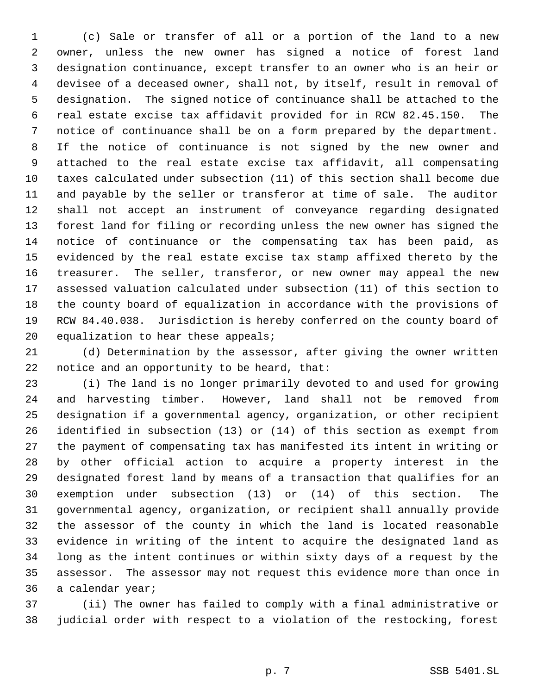(c) Sale or transfer of all or a portion of the land to a new owner, unless the new owner has signed a notice of forest land designation continuance, except transfer to an owner who is an heir or devisee of a deceased owner, shall not, by itself, result in removal of designation. The signed notice of continuance shall be attached to the real estate excise tax affidavit provided for in RCW 82.45.150. The notice of continuance shall be on a form prepared by the department. If the notice of continuance is not signed by the new owner and attached to the real estate excise tax affidavit, all compensating taxes calculated under subsection (11) of this section shall become due and payable by the seller or transferor at time of sale. The auditor shall not accept an instrument of conveyance regarding designated forest land for filing or recording unless the new owner has signed the notice of continuance or the compensating tax has been paid, as evidenced by the real estate excise tax stamp affixed thereto by the treasurer. The seller, transferor, or new owner may appeal the new assessed valuation calculated under subsection (11) of this section to the county board of equalization in accordance with the provisions of RCW 84.40.038. Jurisdiction is hereby conferred on the county board of 20 equalization to hear these appeals;

 (d) Determination by the assessor, after giving the owner written notice and an opportunity to be heard, that:

 (i) The land is no longer primarily devoted to and used for growing and harvesting timber. However, land shall not be removed from designation if a governmental agency, organization, or other recipient identified in subsection (13) or (14) of this section as exempt from the payment of compensating tax has manifested its intent in writing or by other official action to acquire a property interest in the designated forest land by means of a transaction that qualifies for an exemption under subsection (13) or (14) of this section. The governmental agency, organization, or recipient shall annually provide the assessor of the county in which the land is located reasonable evidence in writing of the intent to acquire the designated land as long as the intent continues or within sixty days of a request by the assessor. The assessor may not request this evidence more than once in a calendar year;

 (ii) The owner has failed to comply with a final administrative or judicial order with respect to a violation of the restocking, forest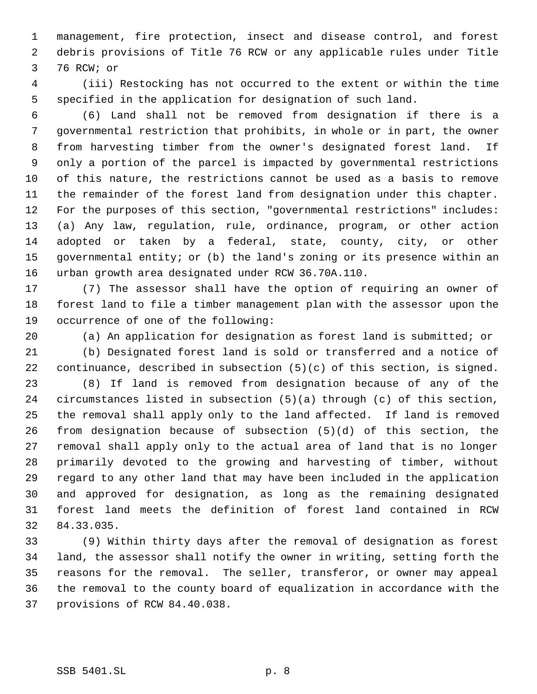management, fire protection, insect and disease control, and forest debris provisions of Title 76 RCW or any applicable rules under Title 76 RCW; or

 (iii) Restocking has not occurred to the extent or within the time specified in the application for designation of such land.

 (6) Land shall not be removed from designation if there is a governmental restriction that prohibits, in whole or in part, the owner from harvesting timber from the owner's designated forest land. If only a portion of the parcel is impacted by governmental restrictions of this nature, the restrictions cannot be used as a basis to remove the remainder of the forest land from designation under this chapter. For the purposes of this section, "governmental restrictions" includes: (a) Any law, regulation, rule, ordinance, program, or other action adopted or taken by a federal, state, county, city, or other governmental entity; or (b) the land's zoning or its presence within an urban growth area designated under RCW 36.70A.110.

 (7) The assessor shall have the option of requiring an owner of forest land to file a timber management plan with the assessor upon the occurrence of one of the following:

(a) An application for designation as forest land is submitted; or

 (b) Designated forest land is sold or transferred and a notice of continuance, described in subsection (5)(c) of this section, is signed.

 (8) If land is removed from designation because of any of the circumstances listed in subsection (5)(a) through (c) of this section, the removal shall apply only to the land affected. If land is removed from designation because of subsection (5)(d) of this section, the removal shall apply only to the actual area of land that is no longer primarily devoted to the growing and harvesting of timber, without regard to any other land that may have been included in the application and approved for designation, as long as the remaining designated forest land meets the definition of forest land contained in RCW 84.33.035.

 (9) Within thirty days after the removal of designation as forest land, the assessor shall notify the owner in writing, setting forth the reasons for the removal. The seller, transferor, or owner may appeal the removal to the county board of equalization in accordance with the provisions of RCW 84.40.038.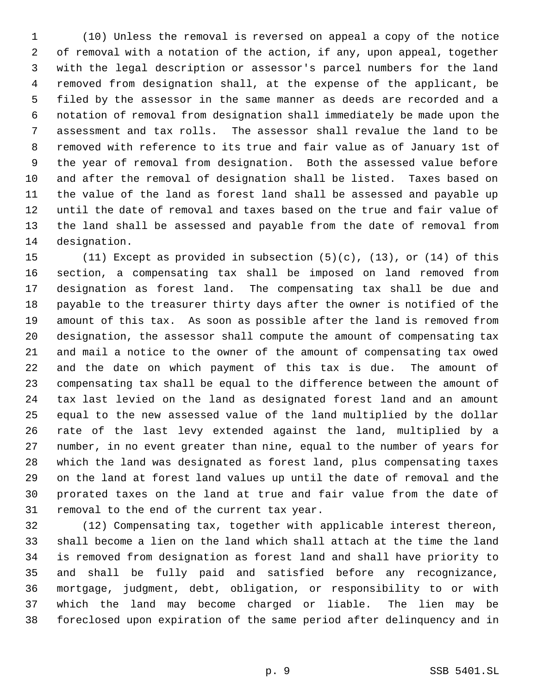(10) Unless the removal is reversed on appeal a copy of the notice of removal with a notation of the action, if any, upon appeal, together with the legal description or assessor's parcel numbers for the land removed from designation shall, at the expense of the applicant, be filed by the assessor in the same manner as deeds are recorded and a notation of removal from designation shall immediately be made upon the assessment and tax rolls. The assessor shall revalue the land to be removed with reference to its true and fair value as of January 1st of the year of removal from designation. Both the assessed value before and after the removal of designation shall be listed. Taxes based on the value of the land as forest land shall be assessed and payable up until the date of removal and taxes based on the true and fair value of the land shall be assessed and payable from the date of removal from designation.

 (11) Except as provided in subsection (5)(c), (13), or (14) of this section, a compensating tax shall be imposed on land removed from designation as forest land. The compensating tax shall be due and payable to the treasurer thirty days after the owner is notified of the amount of this tax. As soon as possible after the land is removed from designation, the assessor shall compute the amount of compensating tax and mail a notice to the owner of the amount of compensating tax owed and the date on which payment of this tax is due. The amount of compensating tax shall be equal to the difference between the amount of tax last levied on the land as designated forest land and an amount equal to the new assessed value of the land multiplied by the dollar rate of the last levy extended against the land, multiplied by a number, in no event greater than nine, equal to the number of years for which the land was designated as forest land, plus compensating taxes on the land at forest land values up until the date of removal and the prorated taxes on the land at true and fair value from the date of removal to the end of the current tax year.

 (12) Compensating tax, together with applicable interest thereon, shall become a lien on the land which shall attach at the time the land is removed from designation as forest land and shall have priority to and shall be fully paid and satisfied before any recognizance, mortgage, judgment, debt, obligation, or responsibility to or with which the land may become charged or liable. The lien may be foreclosed upon expiration of the same period after delinquency and in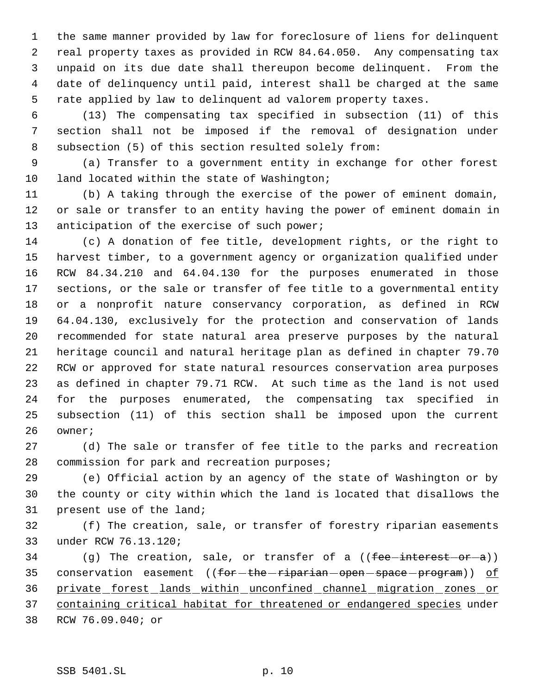the same manner provided by law for foreclosure of liens for delinquent real property taxes as provided in RCW 84.64.050. Any compensating tax unpaid on its due date shall thereupon become delinquent. From the date of delinquency until paid, interest shall be charged at the same rate applied by law to delinquent ad valorem property taxes.

 (13) The compensating tax specified in subsection (11) of this section shall not be imposed if the removal of designation under subsection (5) of this section resulted solely from:

 (a) Transfer to a government entity in exchange for other forest 10 land located within the state of Washington;

 (b) A taking through the exercise of the power of eminent domain, or sale or transfer to an entity having the power of eminent domain in 13 anticipation of the exercise of such power;

 (c) A donation of fee title, development rights, or the right to harvest timber, to a government agency or organization qualified under RCW 84.34.210 and 64.04.130 for the purposes enumerated in those sections, or the sale or transfer of fee title to a governmental entity or a nonprofit nature conservancy corporation, as defined in RCW 64.04.130, exclusively for the protection and conservation of lands recommended for state natural area preserve purposes by the natural heritage council and natural heritage plan as defined in chapter 79.70 RCW or approved for state natural resources conservation area purposes as defined in chapter 79.71 RCW. At such time as the land is not used for the purposes enumerated, the compensating tax specified in subsection (11) of this section shall be imposed upon the current owner;

 (d) The sale or transfer of fee title to the parks and recreation commission for park and recreation purposes;

 (e) Official action by an agency of the state of Washington or by the county or city within which the land is located that disallows the present use of the land;

 (f) The creation, sale, or transfer of forestry riparian easements under RCW 76.13.120;

34 (g) The creation, sale, or transfer of a (( $fee$ -interest-or-a)) 35 conservation easement ((for-the-riparian-open-space-program)) of private forest lands within unconfined channel migration zones or containing critical habitat for threatened or endangered species under RCW 76.09.040; or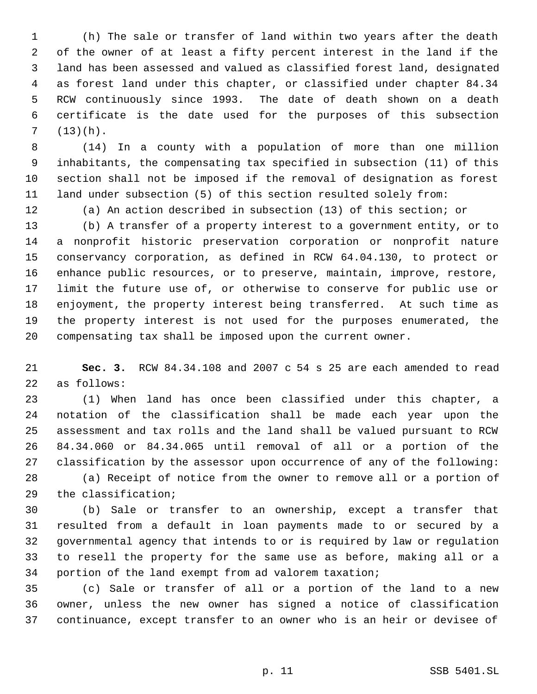(h) The sale or transfer of land within two years after the death of the owner of at least a fifty percent interest in the land if the land has been assessed and valued as classified forest land, designated as forest land under this chapter, or classified under chapter 84.34 RCW continuously since 1993. The date of death shown on a death certificate is the date used for the purposes of this subsection  $7 (13)(h).$ 

 (14) In a county with a population of more than one million inhabitants, the compensating tax specified in subsection (11) of this section shall not be imposed if the removal of designation as forest land under subsection (5) of this section resulted solely from:

(a) An action described in subsection (13) of this section; or

 (b) A transfer of a property interest to a government entity, or to a nonprofit historic preservation corporation or nonprofit nature conservancy corporation, as defined in RCW 64.04.130, to protect or enhance public resources, or to preserve, maintain, improve, restore, limit the future use of, or otherwise to conserve for public use or enjoyment, the property interest being transferred. At such time as the property interest is not used for the purposes enumerated, the compensating tax shall be imposed upon the current owner.

 **Sec. 3.** RCW 84.34.108 and 2007 c 54 s 25 are each amended to read as follows:

 (1) When land has once been classified under this chapter, a notation of the classification shall be made each year upon the assessment and tax rolls and the land shall be valued pursuant to RCW 84.34.060 or 84.34.065 until removal of all or a portion of the classification by the assessor upon occurrence of any of the following: (a) Receipt of notice from the owner to remove all or a portion of the classification;

 (b) Sale or transfer to an ownership, except a transfer that resulted from a default in loan payments made to or secured by a governmental agency that intends to or is required by law or regulation to resell the property for the same use as before, making all or a portion of the land exempt from ad valorem taxation;

 (c) Sale or transfer of all or a portion of the land to a new owner, unless the new owner has signed a notice of classification continuance, except transfer to an owner who is an heir or devisee of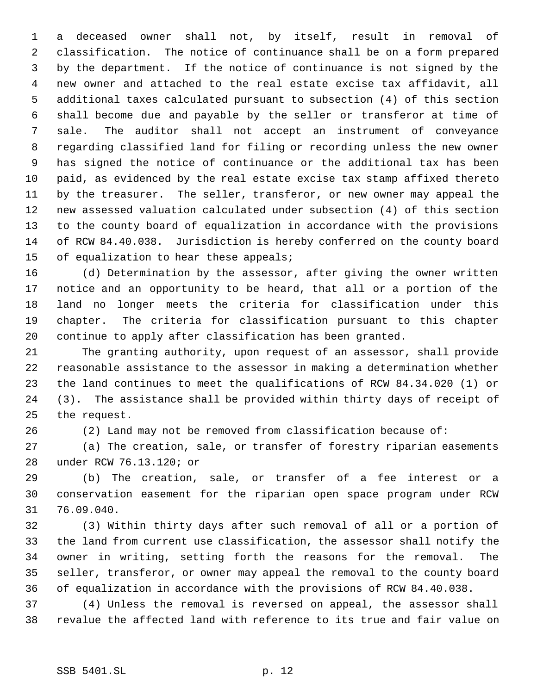a deceased owner shall not, by itself, result in removal of classification. The notice of continuance shall be on a form prepared by the department. If the notice of continuance is not signed by the new owner and attached to the real estate excise tax affidavit, all additional taxes calculated pursuant to subsection (4) of this section shall become due and payable by the seller or transferor at time of sale. The auditor shall not accept an instrument of conveyance regarding classified land for filing or recording unless the new owner has signed the notice of continuance or the additional tax has been paid, as evidenced by the real estate excise tax stamp affixed thereto by the treasurer. The seller, transferor, or new owner may appeal the new assessed valuation calculated under subsection (4) of this section to the county board of equalization in accordance with the provisions of RCW 84.40.038. Jurisdiction is hereby conferred on the county board 15 of equalization to hear these appeals;

 (d) Determination by the assessor, after giving the owner written notice and an opportunity to be heard, that all or a portion of the land no longer meets the criteria for classification under this chapter. The criteria for classification pursuant to this chapter continue to apply after classification has been granted.

 The granting authority, upon request of an assessor, shall provide reasonable assistance to the assessor in making a determination whether the land continues to meet the qualifications of RCW 84.34.020 (1) or (3). The assistance shall be provided within thirty days of receipt of the request.

(2) Land may not be removed from classification because of:

 (a) The creation, sale, or transfer of forestry riparian easements under RCW 76.13.120; or

 (b) The creation, sale, or transfer of a fee interest or a conservation easement for the riparian open space program under RCW 76.09.040.

 (3) Within thirty days after such removal of all or a portion of the land from current use classification, the assessor shall notify the owner in writing, setting forth the reasons for the removal. The seller, transferor, or owner may appeal the removal to the county board of equalization in accordance with the provisions of RCW 84.40.038.

 (4) Unless the removal is reversed on appeal, the assessor shall revalue the affected land with reference to its true and fair value on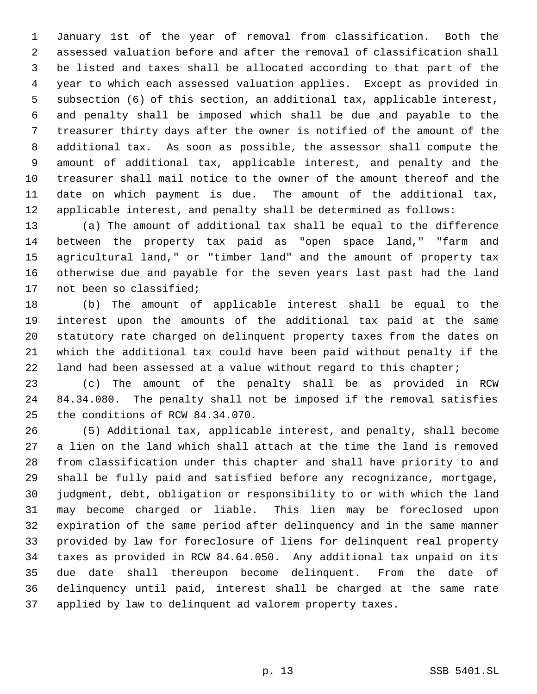January 1st of the year of removal from classification. Both the assessed valuation before and after the removal of classification shall be listed and taxes shall be allocated according to that part of the year to which each assessed valuation applies. Except as provided in subsection (6) of this section, an additional tax, applicable interest, and penalty shall be imposed which shall be due and payable to the treasurer thirty days after the owner is notified of the amount of the additional tax. As soon as possible, the assessor shall compute the amount of additional tax, applicable interest, and penalty and the treasurer shall mail notice to the owner of the amount thereof and the date on which payment is due. The amount of the additional tax, applicable interest, and penalty shall be determined as follows:

 (a) The amount of additional tax shall be equal to the difference between the property tax paid as "open space land," "farm and agricultural land," or "timber land" and the amount of property tax otherwise due and payable for the seven years last past had the land not been so classified;

 (b) The amount of applicable interest shall be equal to the interest upon the amounts of the additional tax paid at the same statutory rate charged on delinquent property taxes from the dates on which the additional tax could have been paid without penalty if the 22 land had been assessed at a value without regard to this chapter;

 (c) The amount of the penalty shall be as provided in RCW 84.34.080. The penalty shall not be imposed if the removal satisfies the conditions of RCW 84.34.070.

 (5) Additional tax, applicable interest, and penalty, shall become a lien on the land which shall attach at the time the land is removed from classification under this chapter and shall have priority to and shall be fully paid and satisfied before any recognizance, mortgage, judgment, debt, obligation or responsibility to or with which the land may become charged or liable. This lien may be foreclosed upon expiration of the same period after delinquency and in the same manner provided by law for foreclosure of liens for delinquent real property taxes as provided in RCW 84.64.050. Any additional tax unpaid on its due date shall thereupon become delinquent. From the date of delinquency until paid, interest shall be charged at the same rate applied by law to delinquent ad valorem property taxes.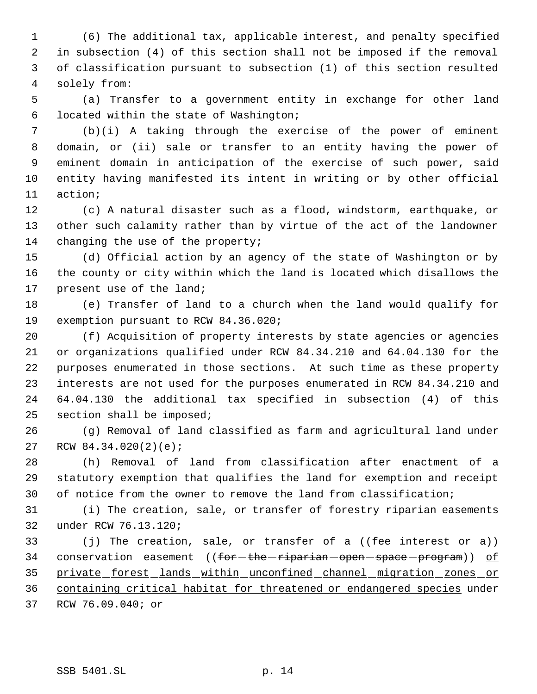(6) The additional tax, applicable interest, and penalty specified in subsection (4) of this section shall not be imposed if the removal of classification pursuant to subsection (1) of this section resulted solely from:

 (a) Transfer to a government entity in exchange for other land located within the state of Washington;

 (b)(i) A taking through the exercise of the power of eminent domain, or (ii) sale or transfer to an entity having the power of eminent domain in anticipation of the exercise of such power, said entity having manifested its intent in writing or by other official action;

 (c) A natural disaster such as a flood, windstorm, earthquake, or other such calamity rather than by virtue of the act of the landowner 14 changing the use of the property;

 (d) Official action by an agency of the state of Washington or by the county or city within which the land is located which disallows the present use of the land;

 (e) Transfer of land to a church when the land would qualify for exemption pursuant to RCW 84.36.020;

 (f) Acquisition of property interests by state agencies or agencies or organizations qualified under RCW 84.34.210 and 64.04.130 for the purposes enumerated in those sections. At such time as these property interests are not used for the purposes enumerated in RCW 84.34.210 and 64.04.130 the additional tax specified in subsection (4) of this section shall be imposed;

 (g) Removal of land classified as farm and agricultural land under RCW 84.34.020(2)(e);

 (h) Removal of land from classification after enactment of a statutory exemption that qualifies the land for exemption and receipt of notice from the owner to remove the land from classification;

 (i) The creation, sale, or transfer of forestry riparian easements under RCW 76.13.120;

33 (j) The creation, sale, or transfer of a  $(fee-interest-or-a)$ ) 34 conservation easement (( $f$ or the riparian open space program)) of private forest lands within unconfined channel migration zones or containing critical habitat for threatened or endangered species under RCW 76.09.040; or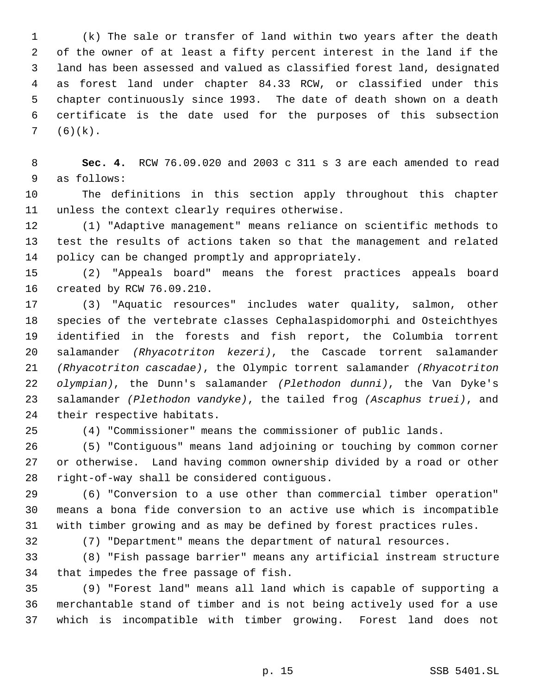(k) The sale or transfer of land within two years after the death of the owner of at least a fifty percent interest in the land if the land has been assessed and valued as classified forest land, designated as forest land under chapter 84.33 RCW, or classified under this chapter continuously since 1993. The date of death shown on a death certificate is the date used for the purposes of this subsection  $7 (6)(k)$ .

 **Sec. 4.** RCW 76.09.020 and 2003 c 311 s 3 are each amended to read as follows:

 The definitions in this section apply throughout this chapter unless the context clearly requires otherwise.

 (1) "Adaptive management" means reliance on scientific methods to test the results of actions taken so that the management and related policy can be changed promptly and appropriately.

 (2) "Appeals board" means the forest practices appeals board created by RCW 76.09.210.

 (3) "Aquatic resources" includes water quality, salmon, other species of the vertebrate classes Cephalaspidomorphi and Osteichthyes identified in the forests and fish report, the Columbia torrent salamander *(Rhyacotriton kezeri)*, the Cascade torrent salamander *(Rhyacotriton cascadae)*, the Olympic torrent salamander *(Rhyacotriton olympian)*, the Dunn's salamander *(Plethodon dunni)*, the Van Dyke's salamander *(Plethodon vandyke)*, the tailed frog *(Ascaphus truei)*, and their respective habitats.

(4) "Commissioner" means the commissioner of public lands.

 (5) "Contiguous" means land adjoining or touching by common corner or otherwise. Land having common ownership divided by a road or other right-of-way shall be considered contiguous.

 (6) "Conversion to a use other than commercial timber operation" means a bona fide conversion to an active use which is incompatible with timber growing and as may be defined by forest practices rules.

(7) "Department" means the department of natural resources.

 (8) "Fish passage barrier" means any artificial instream structure that impedes the free passage of fish.

 (9) "Forest land" means all land which is capable of supporting a merchantable stand of timber and is not being actively used for a use which is incompatible with timber growing. Forest land does not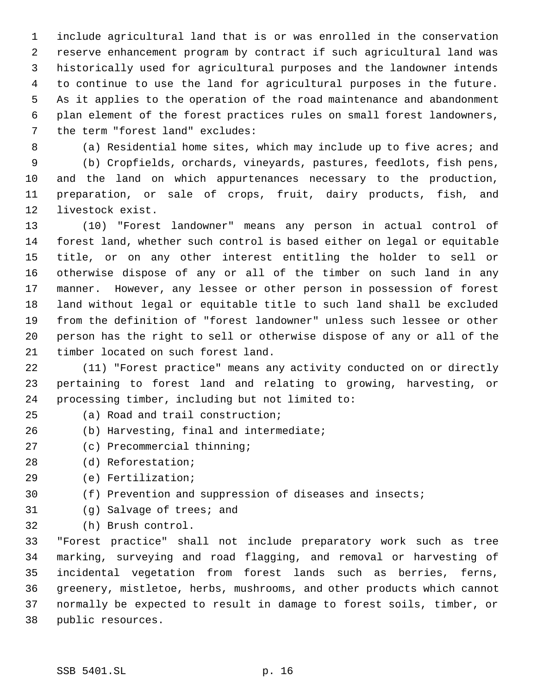include agricultural land that is or was enrolled in the conservation reserve enhancement program by contract if such agricultural land was historically used for agricultural purposes and the landowner intends to continue to use the land for agricultural purposes in the future. As it applies to the operation of the road maintenance and abandonment plan element of the forest practices rules on small forest landowners, the term "forest land" excludes:

(a) Residential home sites, which may include up to five acres; and

 (b) Cropfields, orchards, vineyards, pastures, feedlots, fish pens, and the land on which appurtenances necessary to the production, preparation, or sale of crops, fruit, dairy products, fish, and livestock exist.

 (10) "Forest landowner" means any person in actual control of forest land, whether such control is based either on legal or equitable title, or on any other interest entitling the holder to sell or otherwise dispose of any or all of the timber on such land in any manner. However, any lessee or other person in possession of forest land without legal or equitable title to such land shall be excluded from the definition of "forest landowner" unless such lessee or other person has the right to sell or otherwise dispose of any or all of the timber located on such forest land.

 (11) "Forest practice" means any activity conducted on or directly pertaining to forest land and relating to growing, harvesting, or processing timber, including but not limited to:

- (a) Road and trail construction;
- (b) Harvesting, final and intermediate;
- (c) Precommercial thinning;
- (d) Reforestation;
- (e) Fertilization;
- (f) Prevention and suppression of diseases and insects;
- (g) Salvage of trees; and
- (h) Brush control.

 "Forest practice" shall not include preparatory work such as tree marking, surveying and road flagging, and removal or harvesting of incidental vegetation from forest lands such as berries, ferns, greenery, mistletoe, herbs, mushrooms, and other products which cannot normally be expected to result in damage to forest soils, timber, or public resources.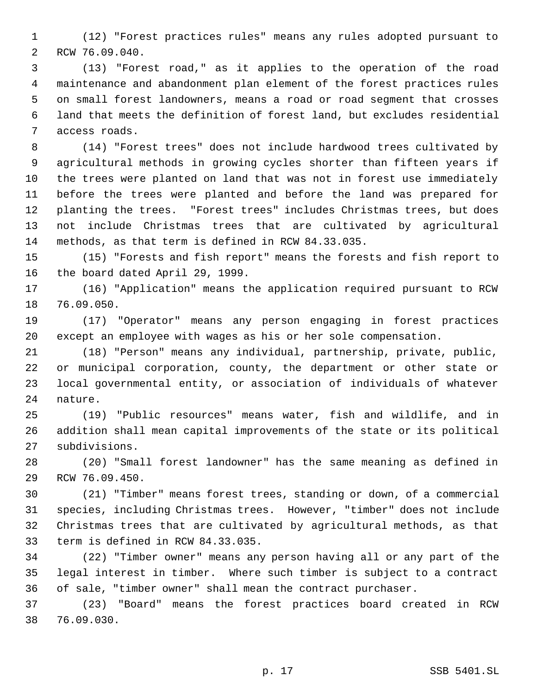(12) "Forest practices rules" means any rules adopted pursuant to RCW 76.09.040.

 (13) "Forest road," as it applies to the operation of the road maintenance and abandonment plan element of the forest practices rules on small forest landowners, means a road or road segment that crosses land that meets the definition of forest land, but excludes residential access roads.

 (14) "Forest trees" does not include hardwood trees cultivated by agricultural methods in growing cycles shorter than fifteen years if the trees were planted on land that was not in forest use immediately before the trees were planted and before the land was prepared for planting the trees. "Forest trees" includes Christmas trees, but does not include Christmas trees that are cultivated by agricultural methods, as that term is defined in RCW 84.33.035.

 (15) "Forests and fish report" means the forests and fish report to the board dated April 29, 1999.

 (16) "Application" means the application required pursuant to RCW 76.09.050.

 (17) "Operator" means any person engaging in forest practices except an employee with wages as his or her sole compensation.

 (18) "Person" means any individual, partnership, private, public, or municipal corporation, county, the department or other state or local governmental entity, or association of individuals of whatever nature.

 (19) "Public resources" means water, fish and wildlife, and in addition shall mean capital improvements of the state or its political subdivisions.

 (20) "Small forest landowner" has the same meaning as defined in RCW 76.09.450.

 (21) "Timber" means forest trees, standing or down, of a commercial species, including Christmas trees. However, "timber" does not include Christmas trees that are cultivated by agricultural methods, as that term is defined in RCW 84.33.035.

 (22) "Timber owner" means any person having all or any part of the legal interest in timber. Where such timber is subject to a contract of sale, "timber owner" shall mean the contract purchaser.

 (23) "Board" means the forest practices board created in RCW 76.09.030.